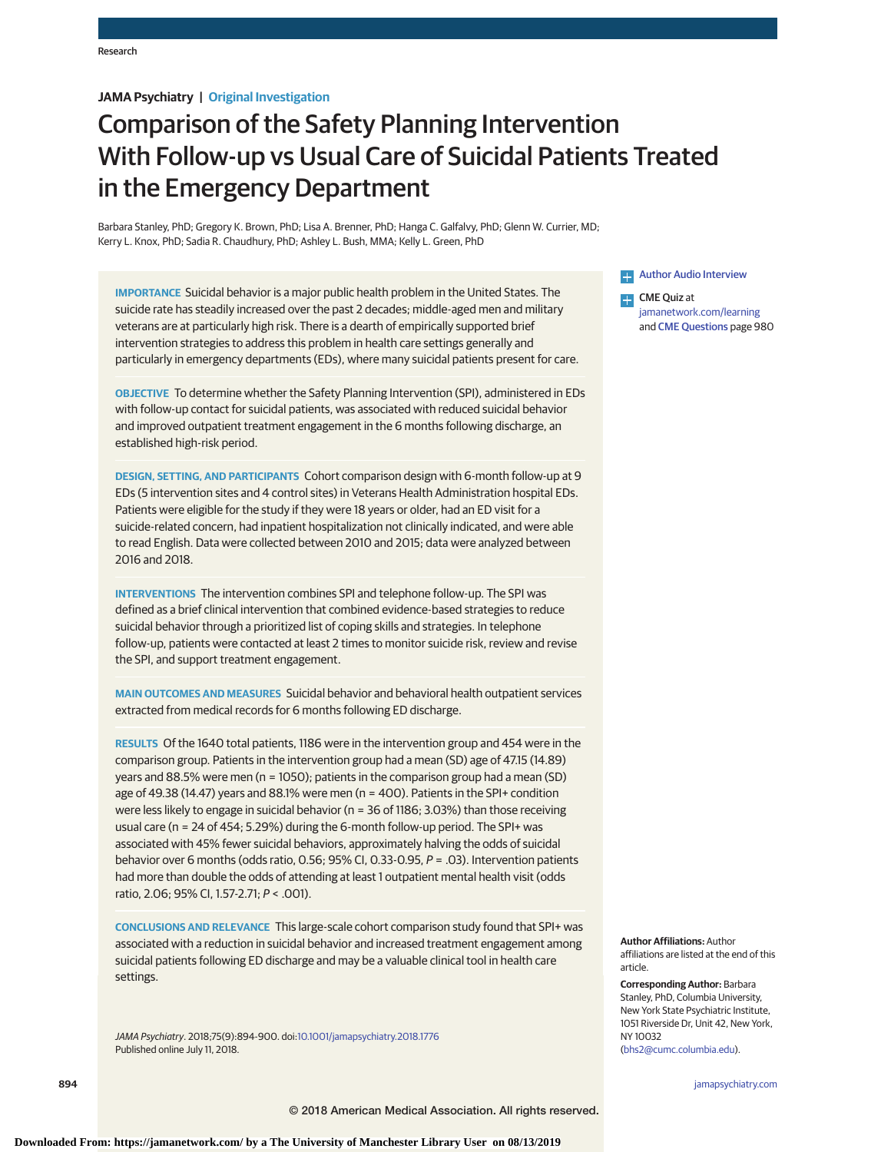# **JAMA Psychiatry | Original Investigation**

# Comparison of the Safety Planning Intervention With Follow-up vs Usual Care of Suicidal Patients Treated in the Emergency Department

Barbara Stanley, PhD; Gregory K. Brown, PhD; Lisa A. Brenner, PhD; Hanga C. Galfalvy, PhD; Glenn W. Currier, MD; Kerry L. Knox, PhD; Sadia R. Chaudhury, PhD; Ashley L. Bush, MMA; Kelly L. Green, PhD

**IMPORTANCE** Suicidal behavior is a major public health problem in the United States. The suicide rate has steadily increased over the past 2 decades; middle-aged men and military veterans are at particularly high risk. There is a dearth of empirically supported brief intervention strategies to address this problem in health care settings generally and particularly in emergency departments (EDs), where many suicidal patients present for care.

**OBJECTIVE** To determine whether the Safety Planning Intervention (SPI), administered in EDs with follow-up contact for suicidal patients, was associated with reduced suicidal behavior and improved outpatient treatment engagement in the 6 months following discharge, an established high-risk period.

**DESIGN, SETTING, AND PARTICIPANTS** Cohort comparison design with 6-month follow-up at 9 EDs (5 intervention sites and 4 control sites) in Veterans Health Administration hospital EDs. Patients were eligible for the study if they were 18 years or older, had an ED visit for a suicide-related concern, had inpatient hospitalization not clinically indicated, and were able to read English. Data were collected between 2010 and 2015; data were analyzed between 2016 and 2018.

**INTERVENTIONS** The intervention combines SPI and telephone follow-up. The SPI was defined as a brief clinical intervention that combined evidence-based strategies to reduce suicidal behavior through a prioritized list of coping skills and strategies. In telephone follow-up, patients were contacted at least 2 times to monitor suicide risk, review and revise the SPI, and support treatment engagement.

**MAIN OUTCOMES AND MEASURES** Suicidal behavior and behavioral health outpatient services extracted from medical records for 6 months following ED discharge.

**RESULTS** Of the 1640 total patients, 1186 were in the intervention group and 454 were in the comparison group. Patients in the intervention group had a mean (SD) age of 47.15 (14.89) years and 88.5% were men (n = 1050); patients in the comparison group had a mean (SD) age of 49.38 (14.47) years and 88.1% were men (n = 400). Patients in the SPI+ condition were less likely to engage in suicidal behavior (n = 36 of 1186; 3.03%) than those receiving usual care (n = 24 of 454; 5.29%) during the 6-month follow-up period. The SPI+ was associated with 45% fewer suicidal behaviors, approximately halving the odds of suicidal behavior over 6 months (odds ratio, 0.56; 95% CI, 0.33-0.95, P = .03). Intervention patients had more than double the odds of attending at least 1 outpatient mental health visit (odds ratio, 2.06; 95% CI, 1.57-2.71; P < .001).

**CONCLUSIONS AND RELEVANCE** This large-scale cohort comparison study found that SPI+ was associated with a reduction in suicidal behavior and increased treatment engagement among suicidal patients following ED discharge and may be a valuable clinical tool in health care settings.

JAMA Psychiatry. 2018;75(9):894-900. doi[:10.1001/jamapsychiatry.2018.1776](https://jama.jamanetwork.com/article.aspx?doi=10.1001/jamapsychiatry.2018.1776&utm_campaign=articlePDF%26utm_medium=articlePDFlink%26utm_source=articlePDF%26utm_content=jamapsychiatry.2018.1776) Published online July 11, 2018.

**Example 2** [Author Audio Interview](https://jamanetwork.com/learning/audio-player/10.1001/jamapsychiatry.2018.1965/?utm_campaign=articlePDF%26utm_medium=articlePDFlink%26utm_source=articlePDF%26utm_content=jamapsychiatry.2018.1776)

 $\Box$  CME Quiz at [jamanetwork.com/learning](https://jama.jamanetwork.com/learning/article-quiz/10.1001/jamapsychiatry.2018.1776/?utm_campaign=articlePDF%26utm_medium=articlePDFlink%26utm_source=articlePDF%26utm_content=jamapsychiatry.2018.1776) and [CME Questions](https://jama.jamanetwork.com/learning/article-quiz/10.1001/jamapsychiatry.2018.1776/?utm_campaign=articlePDF%26utm_medium=articlePDFlink%26utm_source=articlePDF%26utm_content=jamapsychiatry.2018.1776) page 980

**Author Affiliations:** Author affiliations are listed at the end of this article.

**Corresponding Author:** Barbara Stanley, PhD, Columbia University, New York State Psychiatric Institute, 1051 Riverside Dr, Unit 42, New York, NY 10032 [\(bhs2@cumc.columbia.edu\)](mailto:bhs2@cumc.columbia.edu).

**894 (Reprinted)** [jamapsychiatry.com](http://www.jamapsychiatry.com/?utm_campaign=articlePDF%26utm_medium=articlePDFlink%26utm_source=articlePDF%26utm_content=jamapsychiatry.2018.1776)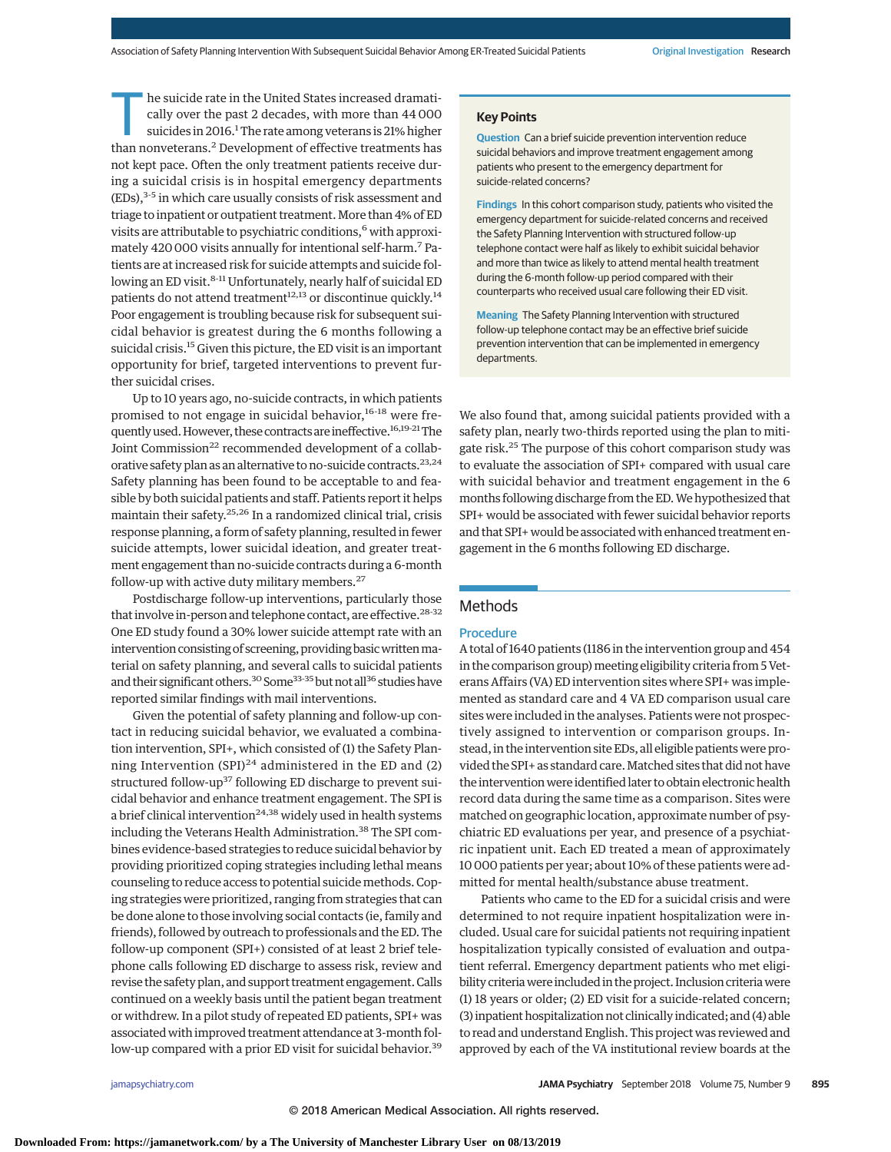he suicide rate in the United States increased dramatically over the past 2 decades, with more than 44 000 suicides in 2016.<sup>1</sup> The rate among veterans is 21% higher than nonveterans.<sup>2</sup> Development of effective treatments has not kept pace. Often the only treatment patients receive during a suicidal crisis is in hospital emergency departments  $(EDs)$ ,  $3-5$  in which care usually consists of risk assessment and triage to inpatient or outpatient treatment.More than 4% of ED visits are attributable to psychiatric conditions,<sup>6</sup> with approximately 420 000 visits annually for intentional self-harm.7 Patients are at increased risk for suicide attempts and suicide following an ED visit.<sup>8-11</sup> Unfortunately, nearly half of suicidal ED patients do not attend treatment<sup>12,13</sup> or discontinue quickly.<sup>14</sup> Poor engagement is troubling because risk for subsequent suicidal behavior is greatest during the 6 months following a suicidal crisis.15 Given this picture, the ED visit is an important opportunity for brief, targeted interventions to prevent further suicidal crises.

Up to 10 years ago, no-suicide contracts, in which patients promised to not engage in suicidal behavior,<sup>16-18</sup> were frequently used. However, these contracts are ineffective.<sup>16,19-21</sup> The Joint Commission<sup>22</sup> recommended development of a collaborative safety plan as an alternative to no-suicide contracts.<sup>23,24</sup> Safety planning has been found to be acceptable to and feasible by both suicidal patients and staff. Patients report it helps maintain their safety.25,26 In a randomized clinical trial, crisis response planning, a form of safety planning, resulted in fewer suicide attempts, lower suicidal ideation, and greater treatment engagement than no-suicide contracts during a 6-month follow-up with active duty military members.27

Postdischarge follow-up interventions, particularly those that involve in-person and telephone contact, are effective.<sup>28-32</sup> One ED study found a 30% lower suicide attempt rate with an intervention consisting of screening, providing basic written material on safety planning, and several calls to suicidal patients and their significant others.<sup>30</sup> Some<sup>33-35</sup> but not all<sup>36</sup> studies have reported similar findings with mail interventions.

Given the potential of safety planning and follow-up contact in reducing suicidal behavior, we evaluated a combination intervention, SPI+, which consisted of (1) the Safety Planning Intervention (SPI)<sup>24</sup> administered in the ED and (2) structured follow-up<sup>37</sup> following ED discharge to prevent suicidal behavior and enhance treatment engagement. The SPI is a brief clinical intervention<sup>24,38</sup> widely used in health systems including the Veterans Health Administration.<sup>38</sup> The SPI combines evidence-based strategies to reduce suicidal behavior by providing prioritized coping strategies including lethal means counseling to reduce access to potential suicidemethods. Coping strategies were prioritized, ranging from strategies that can be done alone to those involving social contacts (ie, family and friends), followed by outreach to professionals and the ED. The follow-up component (SPI+) consisted of at least 2 brief telephone calls following ED discharge to assess risk, review and revise the safety plan, and support treatment engagement. Calls continued on a weekly basis until the patient began treatment or withdrew. In a pilot study of repeated ED patients, SPI+ was associated with improved treatment attendance at 3-month follow-up compared with a prior ED visit for suicidal behavior.<sup>39</sup>

## **Key Points**

**Question** Can a brief suicide prevention intervention reduce suicidal behaviors and improve treatment engagement among patients who present to the emergency department for suicide-related concerns?

**Findings** In this cohort comparison study, patients who visited the emergency department for suicide-related concerns and received the Safety Planning Intervention with structured follow-up telephone contact were half as likely to exhibit suicidal behavior and more than twice as likely to attend mental health treatment during the 6-month follow-up period compared with their counterparts who received usual care following their ED visit.

**Meaning** The Safety Planning Intervention with structured follow-up telephone contact may be an effective brief suicide prevention intervention that can be implemented in emergency departments.

We also found that, among suicidal patients provided with a safety plan, nearly two-thirds reported using the plan to mitigate risk.<sup>25</sup> The purpose of this cohort comparison study was to evaluate the association of SPI+ compared with usual care with suicidal behavior and treatment engagement in the 6 months following discharge from the ED.We hypothesized that SPI+ would be associated with fewer suicidal behavior reports and that SPI+ would be associated with enhanced treatment engagement in the 6 months following ED discharge.

# **Methods**

## **Procedure**

A total of 1640 patients (1186 in the intervention group and 454 in the comparison group) meeting eligibility criteria from 5 Veterans Affairs (VA) ED intervention sites where SPI+ was implemented as standard care and 4 VA ED comparison usual care sites were included in the analyses. Patients were not prospectively assigned to intervention or comparison groups. Instead, in the intervention site EDs, all eligible patients were provided the SPI+ as standard care. Matched sites that did not have the intervention were identified later to obtain electronic health record data during the same time as a comparison. Sites were matched on geographic location, approximate number of psychiatric ED evaluations per year, and presence of a psychiatric inpatient unit. Each ED treated a mean of approximately 10 000 patients per year; about 10% of these patients were admitted for mental health/substance abuse treatment.

Patients who came to the ED for a suicidal crisis and were determined to not require inpatient hospitalization were included. Usual care for suicidal patients not requiring inpatient hospitalization typically consisted of evaluation and outpatient referral. Emergency department patients who met eligibility criteria were included in the project. Inclusion criteria were (1) 18 years or older; (2) ED visit for a suicide-related concern; (3) inpatient hospitalization not clinically indicated; and (4) able to read and understand English. This project was reviewed and approved by each of the VA institutional review boards at the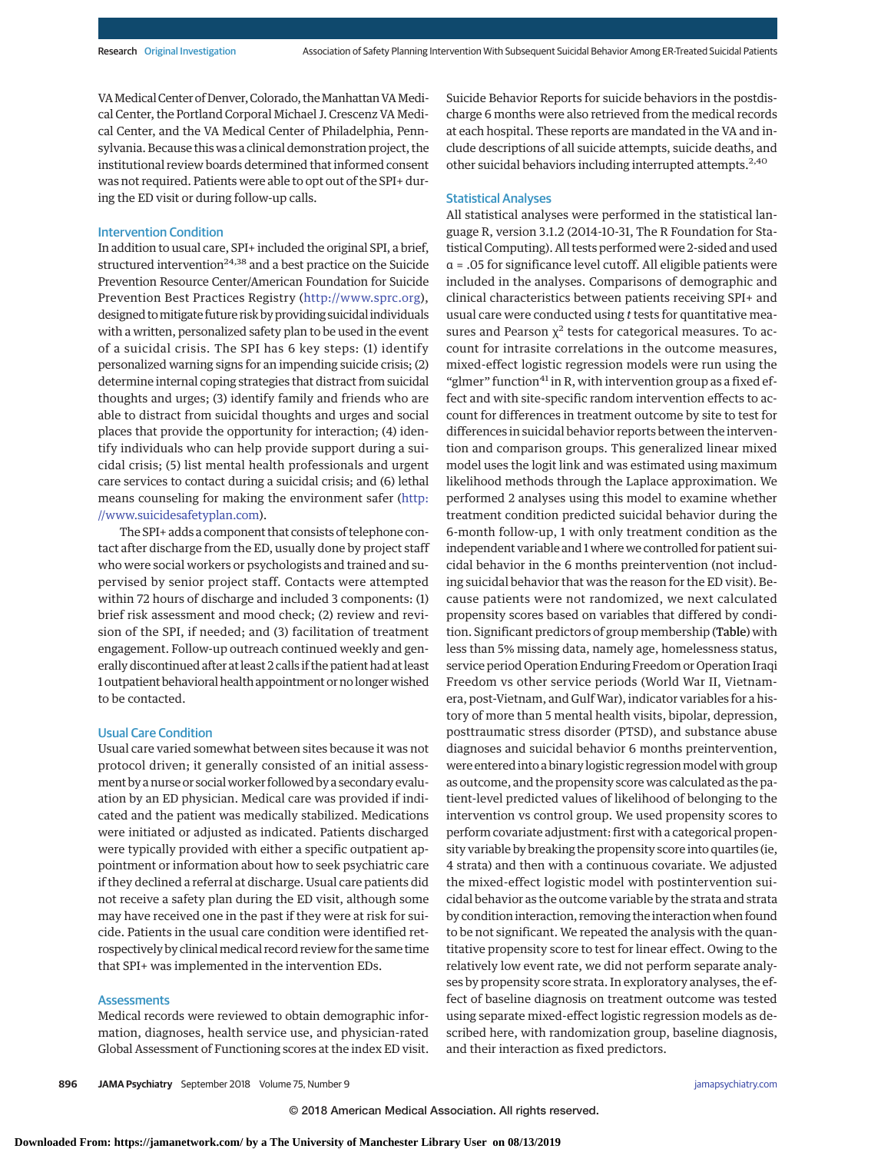VA Medical Center of Denver, Colorado, the Manhattan VA Medical Center, the Portland Corporal Michael J. Crescenz VA Medical Center, and the VA Medical Center of Philadelphia, Pennsylvania. Because this was a clinical demonstration project, the institutional review boards determined that informed consent was not required. Patients were able to opt out of the SPI+ during the ED visit or during follow-up calls.

## Intervention Condition

In addition to usual care, SPI+ included the original SPI, a brief, structured intervention<sup>24,38</sup> and a best practice on the Suicide Prevention Resource Center/American Foundation for Suicide Prevention Best Practices Registry [\(http://www.sprc.org\)](http://www.sprc.org), designed tomitigate future risk by providing suicidal individuals with a written, personalized safety plan to be used in the event of a suicidal crisis. The SPI has 6 key steps: (1) identify personalized warning signs for an impending suicide crisis; (2) determine internal coping strategies that distract from suicidal thoughts and urges; (3) identify family and friends who are able to distract from suicidal thoughts and urges and social places that provide the opportunity for interaction; (4) identify individuals who can help provide support during a suicidal crisis; (5) list mental health professionals and urgent care services to contact during a suicidal crisis; and (6) lethal means counseling for making the environment safer [\(http:](http://www.suicidesafetyplan.com) [//www.suicidesafetyplan.com\)](http://www.suicidesafetyplan.com).

The SPI+ adds a component that consists of telephone contact after discharge from the ED, usually done by project staff who were social workers or psychologists and trained and supervised by senior project staff. Contacts were attempted within 72 hours of discharge and included 3 components: (1) brief risk assessment and mood check; (2) review and revision of the SPI, if needed; and (3) facilitation of treatment engagement. Follow-up outreach continued weekly and generally discontinued after at least 2 calls if the patient had at least 1 outpatient behavioral health appointment or no longer wished to be contacted.

#### Usual Care Condition

Usual care varied somewhat between sites because it was not protocol driven; it generally consisted of an initial assessment by a nurse or social worker followed by a secondary evaluation by an ED physician. Medical care was provided if indicated and the patient was medically stabilized. Medications were initiated or adjusted as indicated. Patients discharged were typically provided with either a specific outpatient appointment or information about how to seek psychiatric care if they declined a referral at discharge. Usual care patients did not receive a safety plan during the ED visit, although some may have received one in the past if they were at risk for suicide. Patients in the usual care condition were identified retrospectively by clinicalmedical record review for the same time that SPI+ was implemented in the intervention EDs.

## **Assessments**

Medical records were reviewed to obtain demographic information, diagnoses, health service use, and physician-rated Global Assessment of Functioning scores at the index ED visit. Suicide Behavior Reports for suicide behaviors in the postdischarge 6 months were also retrieved from the medical records at each hospital. These reports are mandated in the VA and include descriptions of all suicide attempts, suicide deaths, and other suicidal behaviors including interrupted attempts.<sup>2,40</sup>

## Statistical Analyses

All statistical analyses were performed in the statistical language R, version 3.1.2 (2014-10-31, The R Foundation for Statistical Computing). All tests performed were 2-sided and used α = .05 for significance level cutoff. All eligible patients were included in the analyses. Comparisons of demographic and clinical characteristics between patients receiving SPI+ and usual care were conducted using *t* tests for quantitative measures and Pearson  $\chi^2$  tests for categorical measures. To account for intrasite correlations in the outcome measures, mixed-effect logistic regression models were run using the "glmer" function<sup>41</sup> in R, with intervention group as a fixed effect and with site-specific random intervention effects to account for differences in treatment outcome by site to test for differences in suicidal behavior reports between the intervention and comparison groups. This generalized linear mixed model uses the logit link and was estimated using maximum likelihood methods through the Laplace approximation. We performed 2 analyses using this model to examine whether treatment condition predicted suicidal behavior during the 6-month follow-up, 1 with only treatment condition as the independent variable and 1 where we controlled for patient suicidal behavior in the 6 months preintervention (not including suicidal behavior that was the reason for the ED visit). Because patients were not randomized, we next calculated propensity scores based on variables that differed by condition. Significant predictors of group membership (Table) with less than 5% missing data, namely age, homelessness status, service period Operation Enduring Freedom or Operation Iraqi Freedom vs other service periods (World War II, Vietnamera, post-Vietnam, and Gulf War), indicator variables for a history of more than 5 mental health visits, bipolar, depression, posttraumatic stress disorder (PTSD), and substance abuse diagnoses and suicidal behavior 6 months preintervention, were entered into a binary logistic regression model with group as outcome, and the propensity score was calculated as the patient-level predicted values of likelihood of belonging to the intervention vs control group. We used propensity scores to perform covariate adjustment: first with a categorical propensity variable by breaking the propensity score into quartiles (ie, 4 strata) and then with a continuous covariate. We adjusted the mixed-effect logistic model with postintervention suicidal behavior as the outcome variable by the strata and strata by condition interaction, removing the interaction when found to be not significant. We repeated the analysis with the quantitative propensity score to test for linear effect. Owing to the relatively low event rate, we did not perform separate analyses by propensity score strata. In exploratory analyses, the effect of baseline diagnosis on treatment outcome was tested using separate mixed-effect logistic regression models as described here, with randomization group, baseline diagnosis, and their interaction as fixed predictors.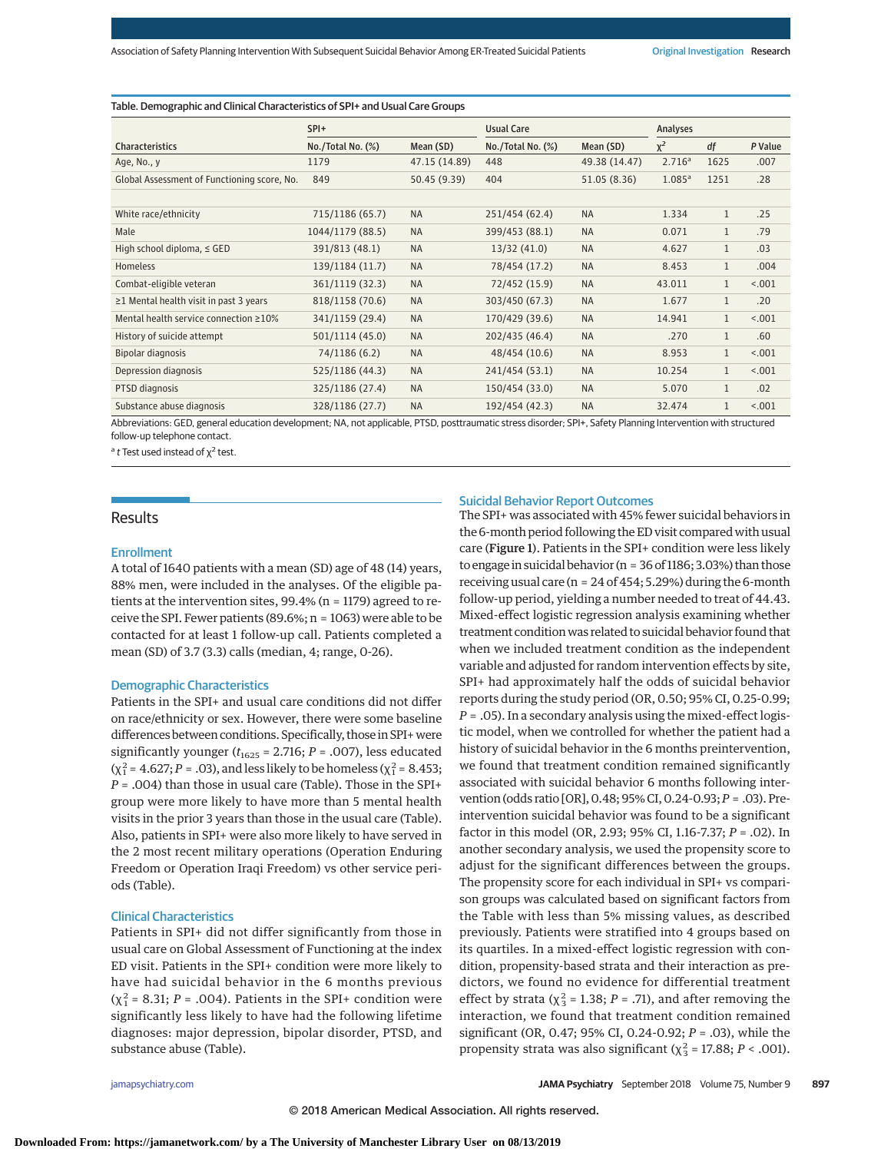Table. Demographic and Clinical Characteristics of SPI+ and Usual Care Groups

|                                              | $SPI+$            |               | <b>Usual Care</b>      |               | Analyses           |              |         |
|----------------------------------------------|-------------------|---------------|------------------------|---------------|--------------------|--------------|---------|
| <b>Characteristics</b>                       | No./Total No. (%) | Mean (SD)     | $No./Total No.$ $(\%)$ | Mean (SD)     | $\chi^2$           | df           | P Value |
| Age, No., y                                  | 1179              | 47.15 (14.89) | 448                    | 49.38 (14.47) | 2.716 <sup>a</sup> | 1625         | .007    |
| Global Assessment of Functioning score, No.  | 849               | 50.45 (9.39)  | 404                    | 51.05 (8.36)  | 1.085 <sup>a</sup> | 1251         | .28     |
| White race/ethnicity                         | 715/1186 (65.7)   | <b>NA</b>     | 251/454 (62.4)         | <b>NA</b>     | 1.334              | $\mathbf{1}$ | .25     |
| Male                                         | 1044/1179 (88.5)  | <b>NA</b>     | 399/453 (88.1)         | <b>NA</b>     | 0.071              | $\mathbf{1}$ | .79     |
| High school diploma, $\le$ GED               | 391/813 (48.1)    | <b>NA</b>     | 13/32(41.0)            | <b>NA</b>     | 4.627              | $\mathbf{1}$ | .03     |
| <b>Homeless</b>                              | 139/1184 (11.7)   | <b>NA</b>     | 78/454 (17.2)          | <b>NA</b>     | 8.453              | $\mathbf{1}$ | .004    |
| Combat-eligible veteran                      | 361/1119 (32.3)   | <b>NA</b>     | 72/452 (15.9)          | <b>NA</b>     | 43.011             | $\mathbf{1}$ | < .001  |
| $\geq$ 1 Mental health visit in past 3 years | 818/1158 (70.6)   | <b>NA</b>     | 303/450 (67.3)         | <b>NA</b>     | 1.677              | $\mathbf{1}$ | .20     |
| Mental health service connection $\geq 10\%$ | 341/1159 (29.4)   | <b>NA</b>     | 170/429 (39.6)         | <b>NA</b>     | 14.941             | $\mathbf{1}$ | < .001  |
| History of suicide attempt                   | 501/1114 (45.0)   | <b>NA</b>     | 202/435 (46.4)         | <b>NA</b>     | .270               | $\mathbf{1}$ | .60     |
| Bipolar diagnosis                            | 74/1186 (6.2)     | <b>NA</b>     | 48/454 (10.6)          | <b>NA</b>     | 8.953              | $\mathbf{1}$ | < .001  |
| Depression diagnosis                         | 525/1186 (44.3)   | <b>NA</b>     | 241/454 (53.1)         | <b>NA</b>     | 10.254             | $\mathbf{1}$ | < .001  |
| PTSD diagnosis                               | 325/1186 (27.4)   | <b>NA</b>     | 150/454 (33.0)         | <b>NA</b>     | 5.070              | $\mathbf{1}$ | .02     |
| Substance abuse diagnosis                    | 328/1186 (27.7)   | <b>NA</b>     | 192/454 (42.3)         | <b>NA</b>     | 32.474             | 1            | < .001  |

Abbreviations: GED, general education development; NA, not applicable, PTSD, posttraumatic stress disorder; SPI+, Safety Planning Intervention with structured follow-up telephone contact.

<sup>a</sup> t Test used instead of  $χ²$  test.

## **Results**

#### Enrollment

A total of 1640 patients with a mean (SD) age of 48 (14) years, 88% men, were included in the analyses. Of the eligible patients at the intervention sites, 99.4% (n = 1179) agreed to receive the SPI. Fewer patients (89.6%; n = 1063) were able to be contacted for at least 1 follow-up call. Patients completed a mean (SD) of 3.7 (3.3) calls (median, 4; range, 0-26).

#### Demographic Characteristics

Patients in the SPI+ and usual care conditions did not differ on race/ethnicity or sex. However, there were some baseline differences between conditions. Specifically, those in SPI+were significantly younger ( $t_{1625}$  = 2.716;  $P$  = .007), less educated ( $\chi^2$  = 4.627; *P* = .03), and less likely to be homeless ( $\chi^2$  = 8.453; *P* = .004) than those in usual care (Table). Those in the SPI+ group were more likely to have more than 5 mental health visits in the prior 3 years than those in the usual care (Table). Also, patients in SPI+ were also more likely to have served in the 2 most recent military operations (Operation Enduring Freedom or Operation Iraqi Freedom) vs other service periods (Table).

#### Clinical Characteristics

Patients in SPI+ did not differ significantly from those in usual care on Global Assessment of Functioning at the index ED visit. Patients in the SPI+ condition were more likely to have had suicidal behavior in the 6 months previous  $(\chi_1^2 = 8.31; P = .004)$ . Patients in the SPI+ condition were significantly less likely to have had the following lifetime diagnoses: major depression, bipolar disorder, PTSD, and substance abuse (Table).

#### Suicidal Behavior Report Outcomes

The SPI+ was associated with 45% fewer suicidal behaviors in the 6-month period following the ED visit compared with usual care (Figure 1). Patients in the SPI+ condition were less likely to engage in suicidal behavior (n = 36 of 1186; 3.03%) than those receiving usual care (n = 24 of 454; 5.29%) during the 6-month follow-up period, yielding a number needed to treat of 44.43. Mixed-effect logistic regression analysis examining whether treatment condition was related to suicidal behavior found that when we included treatment condition as the independent variable and adjusted for random intervention effects by site, SPI+ had approximately half the odds of suicidal behavior reports during the study period (OR, 0.50; 95% CI, 0.25-0.99; *P* = .05). In a secondary analysis using the mixed-effect logistic model, when we controlled for whether the patient had a history of suicidal behavior in the 6 months preintervention, we found that treatment condition remained significantly associated with suicidal behavior 6 months following intervention (odds ratio [OR], 0.48; 95% CI, 0.24-0.93;*P* = .03). Preintervention suicidal behavior was found to be a significant factor in this model (OR, 2.93; 95% CI, 1.16-7.37; *P* = .02). In another secondary analysis, we used the propensity score to adjust for the significant differences between the groups. The propensity score for each individual in SPI+ vs comparison groups was calculated based on significant factors from the Table with less than 5% missing values, as described previously. Patients were stratified into 4 groups based on its quartiles. In a mixed-effect logistic regression with condition, propensity-based strata and their interaction as predictors, we found no evidence for differential treatment effect by strata ( $\chi^2$  = 1.38; *P* = .71), and after removing the interaction, we found that treatment condition remained significant (OR, 0.47; 95% CI, 0.24-0.92; *P* = .03), while the propensity strata was also significant ( $\chi^2$ <sub>3</sub> = 17.88; *P* < .001).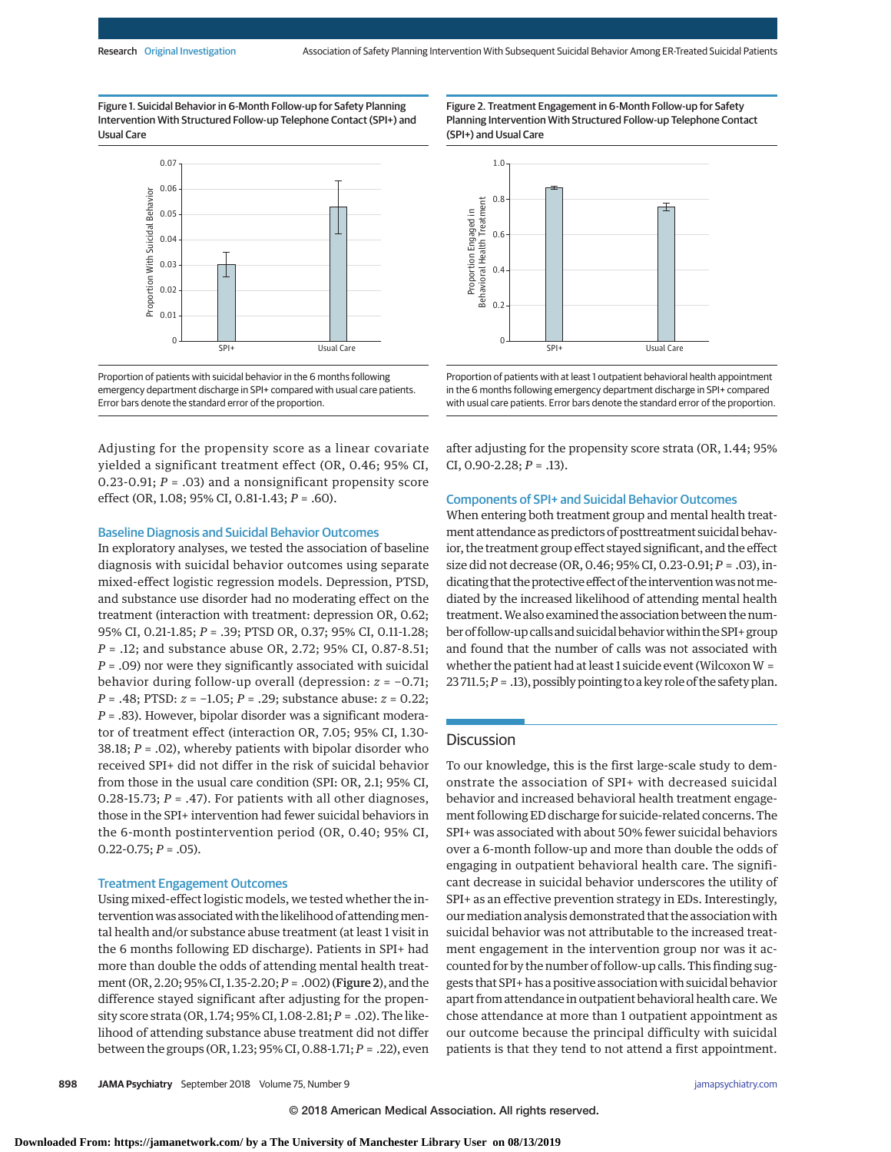Figure 1. Suicidal Behavior in 6-Month Follow-up for Safety Planning Intervention With Structured Follow-up Telephone Contact (SPI+) and Usual Care



Proportion of patients with suicidal behavior in the 6 months following emergency department discharge in SPI+ compared with usual care patients. Error bars denote the standard error of the proportion.

Adjusting for the propensity score as a linear covariate yielded a significant treatment effect (OR, 0.46; 95% CI, 0.23-0.91;  $P = .03$ ) and a nonsignificant propensity score effect (OR, 1.08; 95% CI, 0.81-1.43; *P* = .60).

#### Baseline Diagnosis and Suicidal Behavior Outcomes

In exploratory analyses, we tested the association of baseline diagnosis with suicidal behavior outcomes using separate mixed-effect logistic regression models. Depression, PTSD, and substance use disorder had no moderating effect on the treatment (interaction with treatment: depression OR, 0.62; 95% CI, 0.21-1.85; *P* = .39; PTSD OR, 0.37; 95% CI, 0.11-1.28; *P* = .12; and substance abuse OR, 2.72; 95% CI, 0.87-8.51; *P* = .09) nor were they significantly associated with suicidal behavior during follow-up overall (depression: *z* = −0.71; *P* = .48; PTSD: *z* = −1.05; *P* = .29; substance abuse: *z* = 0.22; *P* = .83). However, bipolar disorder was a significant moderator of treatment effect (interaction OR, 7.05; 95% CI, 1.30- 38.18; *P* = .02), whereby patients with bipolar disorder who received SPI+ did not differ in the risk of suicidal behavior from those in the usual care condition (SPI: OR, 2.1; 95% CI, 0.28-15.73;  $P = .47$ ). For patients with all other diagnoses, those in the SPI+ intervention had fewer suicidal behaviors in the 6-month postintervention period (OR, 0.40; 95% CI,  $0.22 - 0.75; P = .05$ ).

#### Treatment Engagement Outcomes

Using mixed-effect logistic models, we tested whether the intervention was associated with the likelihood of attending mental health and/or substance abuse treatment (at least 1 visit in the 6 months following ED discharge). Patients in SPI+ had more than double the odds of attending mental health treatment (OR, 2.20; 95% CI, 1.35-2.20;*P* = .002) (Figure 2), and the difference stayed significant after adjusting for the propensity score strata (OR, 1.74; 95% CI, 1.08-2.81; *P* = .02). The likelihood of attending substance abuse treatment did not differ between the groups (OR, 1.23; 95% CI, 0.88-1.71; *P* = .22), even Figure 2. Treatment Engagement in 6-Month Follow-up for Safety Planning Intervention With Structured Follow-up Telephone Contact (SPI+) and Usual Care



Proportion of patients with at least 1 outpatient behavioral health appointment in the 6 months following emergency department discharge in SPI+ compared with usual care patients. Error bars denote the standard error of the proportion.

after adjusting for the propensity score strata (OR, 1.44; 95% CI,  $0.90 - 2.28$ ;  $P = .13$ ).

## Components of SPI+ and Suicidal Behavior Outcomes

When entering both treatment group and mental health treatment attendance as predictors of posttreatment suicidal behavior, the treatment group effect stayed significant, and the effect size did not decrease (OR, 0.46; 95% CI, 0.23-0.91; *P* = .03), indicating that the protective effect of the intervention was not mediated by the increased likelihood of attending mental health treatment.We also examined the association between the number of follow-up calls and suicidal behavior within the SPI+ group and found that the number of calls was not associated with whether the patient had at least 1 suicide event (Wilcoxon  $W =$ 23 711.5;*P* = .13), possibly pointing to a key role of the safety plan.

## **Discussion**

To our knowledge, this is the first large-scale study to demonstrate the association of SPI+ with decreased suicidal behavior and increased behavioral health treatment engagement following ED discharge for suicide-related concerns. The SPI+ was associated with about 50% fewer suicidal behaviors over a 6-month follow-up and more than double the odds of engaging in outpatient behavioral health care. The significant decrease in suicidal behavior underscores the utility of SPI+ as an effective prevention strategy in EDs. Interestingly, our mediation analysis demonstrated that the association with suicidal behavior was not attributable to the increased treatment engagement in the intervention group nor was it accounted for by the number of follow-up calls. This finding suggests that SPI+ has a positive association with suicidal behavior apart from attendance in outpatient behavioral health care.We chose attendance at more than 1 outpatient appointment as our outcome because the principal difficulty with suicidal patients is that they tend to not attend a first appointment.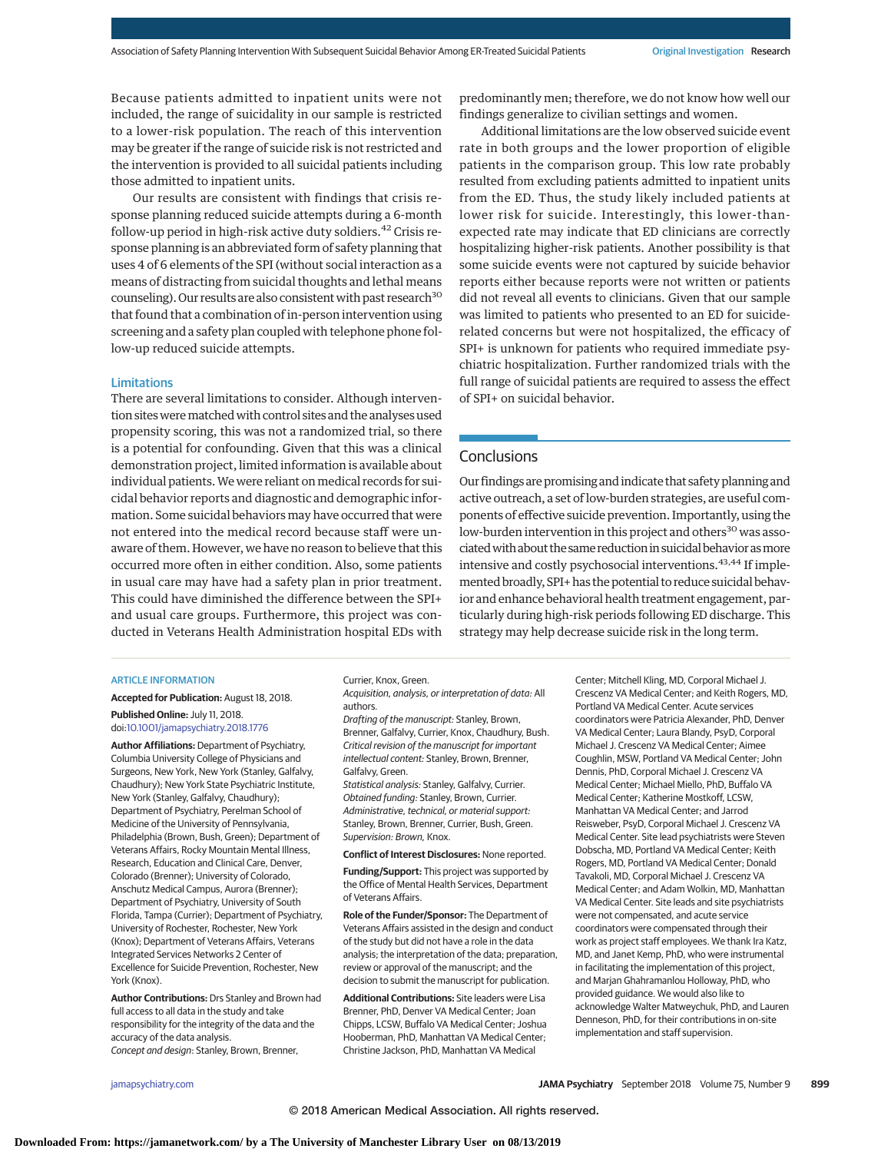Because patients admitted to inpatient units were not included, the range of suicidality in our sample is restricted to a lower-risk population. The reach of this intervention may be greater if the range of suicide risk is not restricted and the intervention is provided to all suicidal patients including those admitted to inpatient units.

Our results are consistent with findings that crisis response planning reduced suicide attempts during a 6-month follow-up period in high-risk active duty soldiers.<sup>42</sup> Crisis response planning is an abbreviated form of safety planning that uses 4 of 6 elements of the SPI (without social interaction as a means of distracting from suicidal thoughts and lethal means counseling). Our results are also consistent with past research<sup>30</sup> that found that a combination of in-person intervention using screening and a safety plan coupled with telephone phone follow-up reduced suicide attempts.

### Limitations

There are several limitations to consider. Although intervention sites were matched with control sites and the analyses used propensity scoring, this was not a randomized trial, so there is a potential for confounding. Given that this was a clinical demonstration project, limited information is available about individual patients. We were reliant on medical records for suicidal behavior reports and diagnostic and demographic information. Some suicidal behaviors may have occurred that were not entered into the medical record because staff were unaware of them. However, we have no reason to believe that this occurred more often in either condition. Also, some patients in usual care may have had a safety plan in prior treatment. This could have diminished the difference between the SPI+ and usual care groups. Furthermore, this project was conducted in Veterans Health Administration hospital EDs with

predominantly men; therefore, we do not know how well our findings generalize to civilian settings and women.

Additional limitations are the low observed suicide event rate in both groups and the lower proportion of eligible patients in the comparison group. This low rate probably resulted from excluding patients admitted to inpatient units from the ED. Thus, the study likely included patients at lower risk for suicide. Interestingly, this lower-thanexpected rate may indicate that ED clinicians are correctly hospitalizing higher-risk patients. Another possibility is that some suicide events were not captured by suicide behavior reports either because reports were not written or patients did not reveal all events to clinicians. Given that our sample was limited to patients who presented to an ED for suiciderelated concerns but were not hospitalized, the efficacy of SPI+ is unknown for patients who required immediate psychiatric hospitalization. Further randomized trials with the full range of suicidal patients are required to assess the effect of SPI+ on suicidal behavior.

## **Conclusions**

Our findings are promising and indicate that safety planning and active outreach, a set of low-burden strategies, are useful components of effective suicide prevention. Importantly, using the low-burden intervention in this project and others<sup>30</sup> was associated with about the same reduction in suicidal behavior as more intensive and costly psychosocial interventions.<sup>43,44</sup> If implemented broadly, SPI+ has the potential to reduce suicidal behavior and enhance behavioral health treatment engagement, particularly during high-risk periods following ED discharge. This strategy may help decrease suicide risk in the long term.

## ARTICLE INFORMATION

**Accepted for Publication:** August 18, 2018. **Published Online:** July 11, 2018.

doi[:10.1001/jamapsychiatry.2018.1776](https://jama.jamanetwork.com/article.aspx?doi=10.1001/jamapsychiatry.2018.1776&utm_campaign=articlePDF%26utm_medium=articlePDFlink%26utm_source=articlePDF%26utm_content=jamapsychiatry.2018.1776)

**Author Affiliations:** Department of Psychiatry, Columbia University College of Physicians and Surgeons, New York, New York (Stanley, Galfalvy, Chaudhury); New York State Psychiatric Institute, New York (Stanley, Galfalvy, Chaudhury); Department of Psychiatry, Perelman School of Medicine of the University of Pennsylvania, Philadelphia (Brown, Bush, Green); Department of Veterans Affairs, Rocky Mountain Mental Illness, Research, Education and Clinical Care, Denver, Colorado (Brenner); University of Colorado, Anschutz Medical Campus, Aurora (Brenner); Department of Psychiatry, University of South Florida, Tampa (Currier); Department of Psychiatry, University of Rochester, Rochester, New York (Knox); Department of Veterans Affairs, Veterans Integrated Services Networks 2 Center of Excellence for Suicide Prevention, Rochester, New York (Knox).

**Author Contributions:** Drs Stanley and Brown had full access to all data in the study and take responsibility for the integrity of the data and the accuracy of the data analysis. Concept and design: Stanley, Brown, Brenner,

Currier, Knox, Green.

Acquisition, analysis, or interpretation of data: All authors.

Drafting of the manuscript: Stanley, Brown, Brenner, Galfalvy, Currier, Knox, Chaudhury, Bush. Critical revision of the manuscript for important intellectual content: Stanley, Brown, Brenner, Galfalvy, Green.

Statistical analysis: Stanley, Galfalvy, Currier. Obtained funding: Stanley, Brown, Currier. Administrative, technical, or material support: Stanley, Brown, Brenner, Currier, Bush, Green. Supervision: Brown, Knox.

**Conflict of Interest Disclosures:** None reported.

**Funding/Support:** This project was supported by the Office of Mental Health Services, Department of Veterans Affairs.

**Role of the Funder/Sponsor:** The Department of Veterans Affairs assisted in the design and conduct of the study but did not have a role in the data analysis; the interpretation of the data; preparation, review or approval of the manuscript; and the decision to submit the manuscript for publication.

**Additional Contributions:** Site leaders were Lisa Brenner, PhD, Denver VA Medical Center; Joan Chipps, LCSW, Buffalo VA Medical Center; Joshua Hooberman, PhD, Manhattan VA Medical Center; Christine Jackson, PhD, Manhattan VA Medical

Center; Mitchell Kling, MD, Corporal Michael J. Crescenz VA Medical Center; and Keith Rogers, MD, Portland VA Medical Center. Acute services coordinators were Patricia Alexander, PhD, Denver VA Medical Center; Laura Blandy, PsyD, Corporal Michael J. Crescenz VA Medical Center; Aimee Coughlin, MSW, Portland VA Medical Center; John Dennis, PhD, Corporal Michael J. Crescenz VA Medical Center; Michael Miello, PhD, Buffalo VA Medical Center; Katherine Mostkoff, LCSW, Manhattan VA Medical Center; and Jarrod Reisweber, PsyD, Corporal Michael J. Crescenz VA Medical Center. Site lead psychiatrists were Steven Dobscha, MD, Portland VA Medical Center; Keith Rogers, MD, Portland VA Medical Center; Donald Tavakoli, MD, Corporal Michael J. Crescenz VA Medical Center; and Adam Wolkin, MD, Manhattan VA Medical Center. Site leads and site psychiatrists were not compensated, and acute service coordinators were compensated through their work as project staff employees. We thank Ira Katz, MD, and Janet Kemp, PhD, who were instrumental in facilitating the implementation of this project, and Marjan Ghahramanlou Holloway, PhD, who provided guidance. We would also like to acknowledge Walter Matweychuk, PhD, and Lauren Denneson, PhD, for their contributions in on-site implementation and staff supervision.